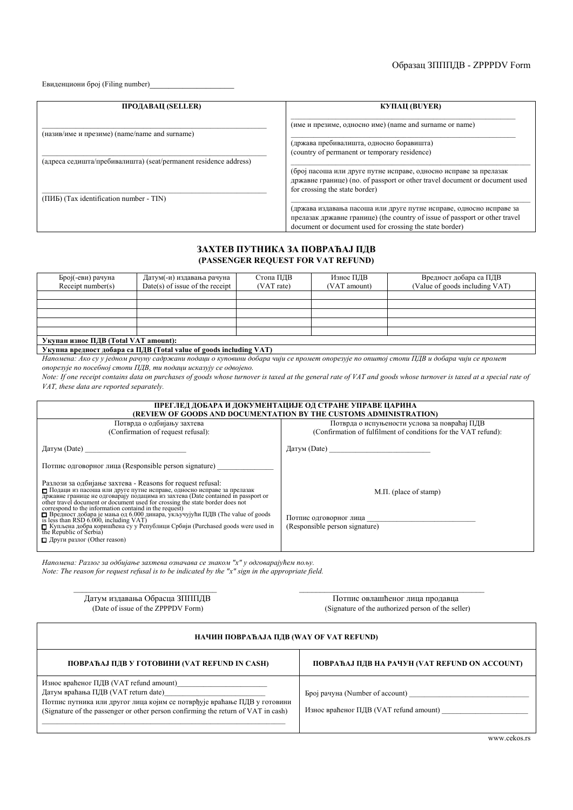## Oбразац ЗПППДВ - ZPPPDV Form

Евиденциони број (Filing number)\_\_\_\_\_\_\_\_\_\_\_\_\_\_\_\_\_\_

| ПРОДАВАЦ (SELLER)                                                                                           | <b>КУПАЦ (BUYER)</b>                                                                                                                                                                                           |
|-------------------------------------------------------------------------------------------------------------|----------------------------------------------------------------------------------------------------------------------------------------------------------------------------------------------------------------|
| (назив/име и презиме) (name/name and surname)                                                               | (име и презиме, односно име) (name and surname or name)                                                                                                                                                        |
|                                                                                                             | (држава пребивалишта, односно боравишта)                                                                                                                                                                       |
|                                                                                                             | (country of permanent or temporary residence)                                                                                                                                                                  |
| (адреса седишта/пребивалишта) (seat/permanent residence address)<br>(ПИБ) (Tax identification number - TIN) | (број пасоша или друге путне исправе, односно исправе за прелазак<br>државне границе) (no. of passport or other travel document or document used<br>for crossing the state border)                             |
|                                                                                                             | (држава издавања пасоша или друге путне исправе, односно исправе за<br>прелазак државне границе) (the country of issue of passport or other travel<br>document or document used for crossing the state border) |

## **ЗАХТЕВ ПУТНИКА ЗА ПОВРАЋАЈ ПДВ (PASSENGER REQUEST FOR VAT REFUND)**

| Број(-еви) рачуна                    | Датум(-и) издавања рачуна         | Стопа ПДВ  | Износ ПДВ    | Вредност добара са ПДВ         |  |
|--------------------------------------|-----------------------------------|------------|--------------|--------------------------------|--|
| Receipt number(s)                    | $Date(s)$ of issue of the receipt | (VAT rate) | (VAT amount) | (Value of goods including VAT) |  |
|                                      |                                   |            |              |                                |  |
|                                      |                                   |            |              |                                |  |
|                                      |                                   |            |              |                                |  |
|                                      |                                   |            |              |                                |  |
|                                      |                                   |            |              |                                |  |
| Укупан износ ПДВ (Total VAT amount): |                                   |            |              |                                |  |
|                                      |                                   |            |              |                                |  |

## **Укупна вредност добара са ПДВ (Total value of goods including VAT)**

Напомена: Ако су у једном рачуну садржани подаци о куповини добара чији се промет опорезује по општој стопи ПДВ и добара чији се промет *опорезује по посебној стопи ПДВ, ти подаци исказују се одвојено.* 

*Note: If one receipt contains data on purchases of goods whose turnover is taxed at the general rate of VAT and goods whose turnover is taxed at a special rate of VAT, these data are reported separately.* 

| ПРЕГЛЕД ДОБАРА И ДОКУМЕНТАЦИЈЕ ОД СТРАНЕ УПРАВЕ ЦАРИНА<br>(REVIEW OF GOODS AND DOCUMENTATION BY THE CUSTOMS ADMINISTRATION)                                                                                                                                                                                                                                                     |                                                                |  |  |  |
|---------------------------------------------------------------------------------------------------------------------------------------------------------------------------------------------------------------------------------------------------------------------------------------------------------------------------------------------------------------------------------|----------------------------------------------------------------|--|--|--|
| Потврда о одбијању захтева                                                                                                                                                                                                                                                                                                                                                      | Потврда о испуњености услова за повраћај ПДВ                   |  |  |  |
| (Confirmation of request refusal):                                                                                                                                                                                                                                                                                                                                              | (Confirmation of fulfilment of conditions for the VAT refund): |  |  |  |
| $\mu$ датум (Date)                                                                                                                                                                                                                                                                                                                                                              | $\text{Jarym}$ (Date)                                          |  |  |  |
| Потпис одговорног лица (Responsible person signature)                                                                                                                                                                                                                                                                                                                           |                                                                |  |  |  |
| Разлози за одбијање захтева - Reasons for request refusal:<br>Подаци из пасоша или друге путне исправе, односно исправе за прелазак<br>The agent and the outrosable) подацима из захтева (Date contained in passport or<br>other travel document or document used for crossing the state border does not<br>correspond to the information containd in the request!<br>$\Box$ Вр | $M.\Pi.$ (place of stamp)                                      |  |  |  |
| $\overline{1}$ is less than RSD 6.000, including VAT)                                                                                                                                                                                                                                                                                                                           | Потпис одговорног лица                                         |  |  |  |
| П Купљена добра коришћена су у Републици Србији (Purchased goods were used in<br>the Republic of Serbia)                                                                                                                                                                                                                                                                        | (Responsible person signature)                                 |  |  |  |
| $\Box$ Други разлог (Other reason)                                                                                                                                                                                                                                                                                                                                              |                                                                |  |  |  |

*Напомена: Разлог за одбијање захтева означава се знаком "х" у одговарајућем пољу. Note: The reason for request refusal is to be indicated by the "x" sign in the appropriate field.* 

 $\overline{a}$  Датум издавања Обрасца  $\overline{a}$   $\overline{a}$   $\overline{a}$   $\overline{a}$   $\overline{a}$   $\overline{a}$   $\overline{a}$   $\overline{a}$   $\overline{a}$   $\overline{a}$   $\overline{a}$   $\overline{a}$   $\overline{a}$   $\overline{a}$   $\overline{a}$   $\overline{a}$   $\overline{a}$   $\overline{a}$   $\overline{a}$   $\overline{a}$   $\overline{a}$ (Signature of the authorized person of the seller)

| НАЧИН ПОВРАЋАЈА ПДВ (WAY OF VAT REFUND)                                                                                                                                                                 |                                                                           |  |  |  |
|---------------------------------------------------------------------------------------------------------------------------------------------------------------------------------------------------------|---------------------------------------------------------------------------|--|--|--|
| ПОВРАЋАЈ ПДВ У ГОТОВИНИ (VAT REFUND IN CASH)                                                                                                                                                            | ПОВРАЋАЈ ПДВ НА РАЧУН (VAT REFUND ON ACCOUNT)                             |  |  |  |
| Износ враћеног ПДВ (VAT refund amount)<br>Потпис путника или другог лица којим се потврђује враћање ПДВ у готовини<br>(Signature of the passenger or other person confirming the return of VAT in cash) | Број рачуна (Number of account)<br>Износ враћеног ПДВ (VAT refund amount) |  |  |  |

\_\_\_\_\_\_\_\_\_\_\_\_\_\_\_\_\_\_\_\_\_\_\_\_\_\_\_\_\_\_\_\_\_\_ \_\_\_\_\_\_\_\_\_\_\_\_\_\_\_\_\_\_\_\_\_\_\_\_\_\_\_\_\_\_\_\_\_\_\_\_\_\_\_\_\_\_\_\_

www.cekos.rs